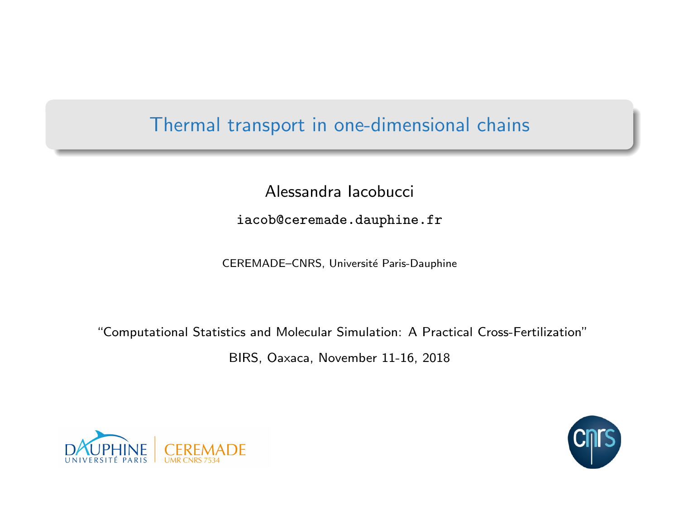## <span id="page-0-0"></span>Thermal transport in one-dimensional chains

Alessandra Iacobucci

iacob@ceremade.dauphine.fr

CEREMADE-CNRS, Université Paris-Dauphine

"Computational Statistics and Molecular Simulation: A Practical Cross-Fertilization"

BIRS, Oaxaca, November 11-16, 2018



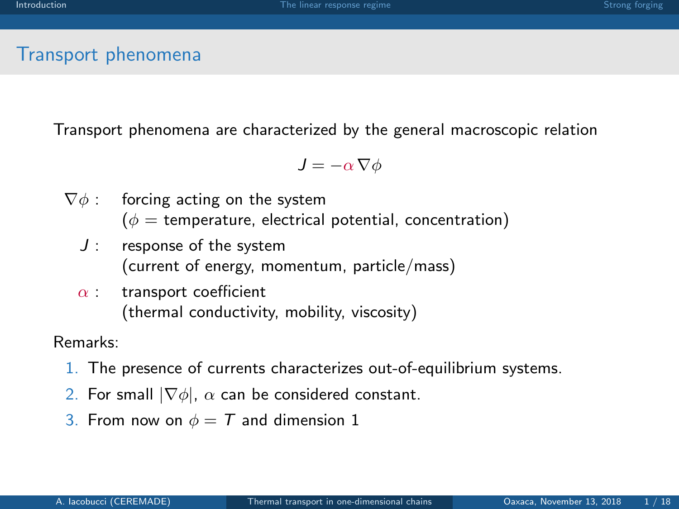#### <span id="page-1-0"></span>Transport phenomena

Transport phenomena are characterized by the general macroscopic relation

 $J = -\alpha \nabla \phi$ 

- $\nabla \phi$  : forcing acting on the system  $(\phi =$  temperature, electrical potential, concentration)
	- J : response of the system (current of energy, momentum, particle/mass)
	- $\alpha$  : transport coefficient (thermal conductivity, mobility, viscosity)

Remarks:

- 1. The presence of currents characterizes out-of-equilibrium systems.
- 2. For small  $|\nabla \phi|$ ,  $\alpha$  can be considered constant.
- 3. From now on  $\phi = T$  and dimension 1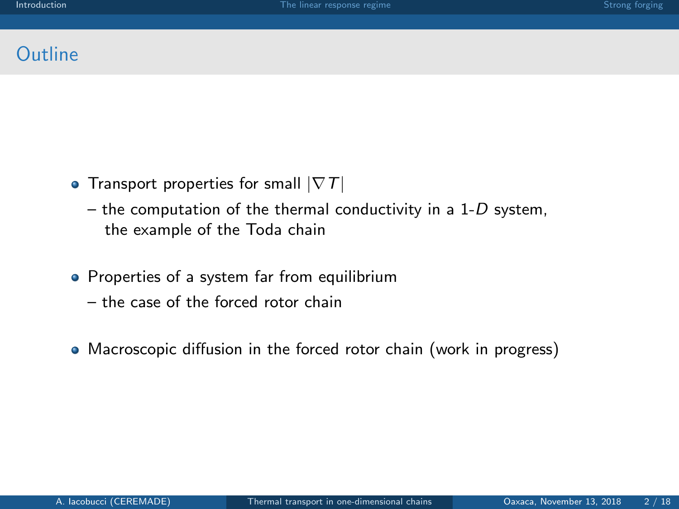## **Outline**

- Transport properties for small  $|\nabla T|$ 
	- the computation of the thermal conductivity in a  $1-D$  system, the example of the Toda chain
- Properties of a system far from equilibrium
	- the case of the forced rotor chain
- Macroscopic diffusion in the forced rotor chain (work in progress)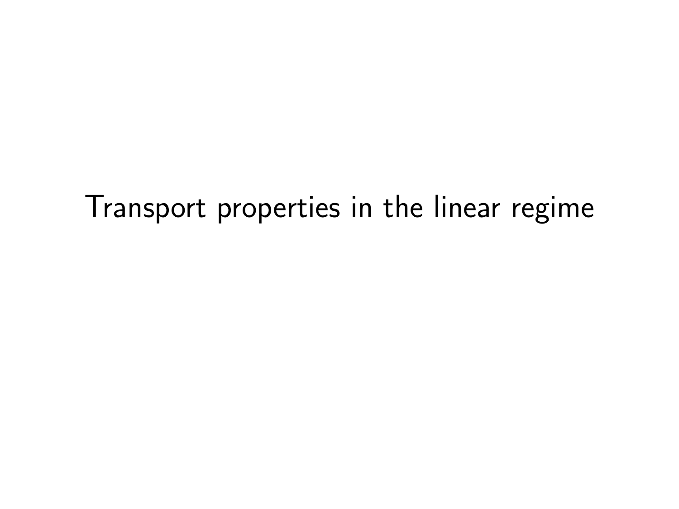Transport properties in the linear regime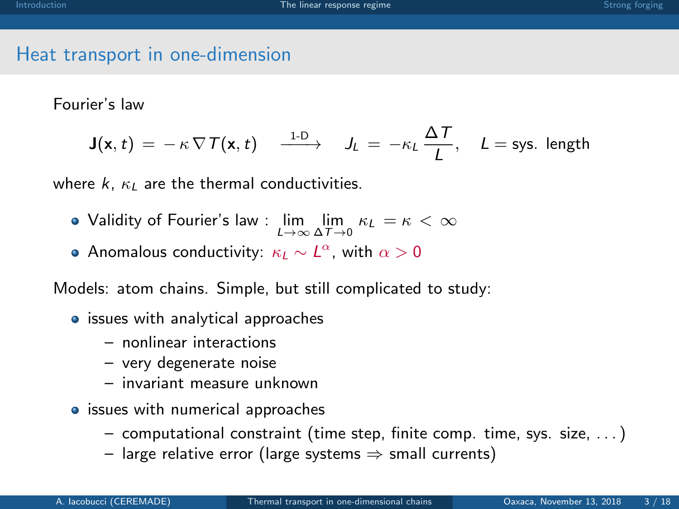### <span id="page-4-0"></span>Heat transport in one-dimension

Fourier's law

$$
\mathbf{J}(\mathbf{x},t) = -\kappa \nabla T(\mathbf{x},t) \quad \xrightarrow{1-D} \quad J_L = -\kappa_L \frac{\Delta T}{L}, \quad L = \text{sys. length}
$$

where  $k, \kappa_L$  are the thermal conductivities.

- Validity of Fourier's law :  $\lim_{L\to\infty} \lim_{\Delta T\to 0} \kappa_L = \kappa < \infty$
- Anomalous conductivity:  $\kappa_L \sim L^{\alpha}$ , with  $\alpha > 0$

Models: atom chains. Simple, but still complicated to study:

- issues with analytical approaches
	- nonlinear interactions
	- very degenerate noise
	- invariant measure unknown
- issues with numerical approaches
	- computational constraint (time step, finite comp. time, sys. size, . . . )
	- large relative error (large systems  $⇒$  small currents)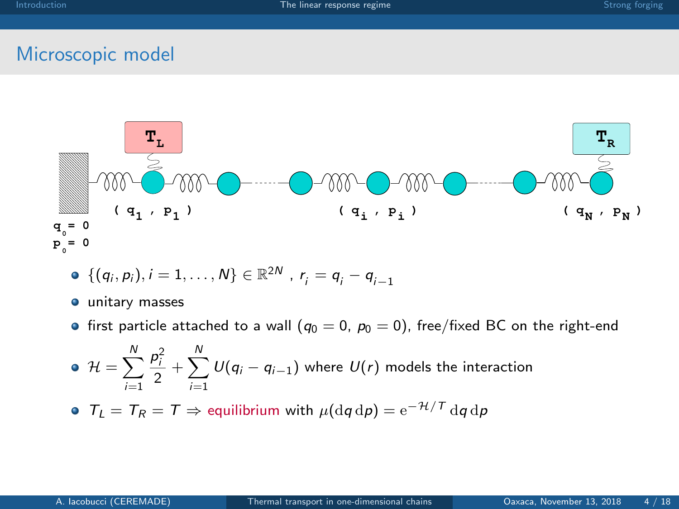#### Microscopic model



• 
$$
\{(q_i, p_i), i = 1, ..., N\} \in \mathbb{R}^{2N}
$$
,  $r_i = q_i - q_{i-1}$ 

- $\bullet$  unitary masses
- first particle attached to a wall  $(q_0 = 0, p_0 = 0)$ , free/fixed BC on the right-end

• 
$$
\mathcal{H} = \sum_{i=1}^{N} \frac{p_i^2}{2} + \sum_{i=1}^{N} U(q_i - q_{i-1})
$$
 where  $U(r)$  models the interaction

 $\bullet$   $T_L = T_R = T \Rightarrow$  equilibrium with  $\mu(\mathrm{d}q \mathrm{d}p) = e^{-\mathcal{H}/T} \mathrm{d}q \mathrm{d}p$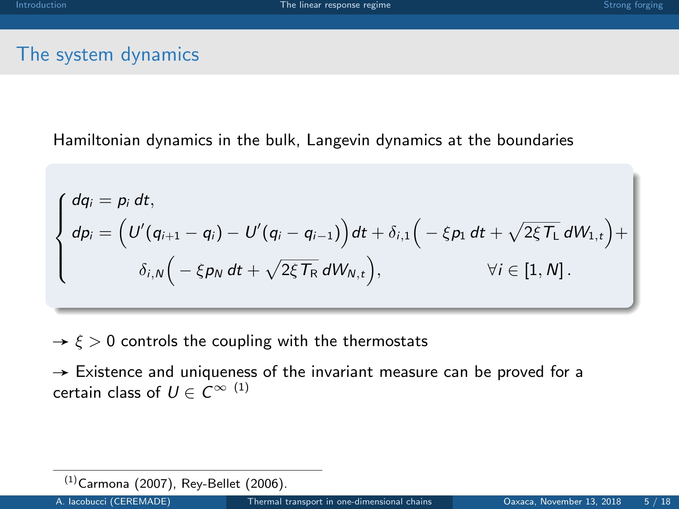#### The system dynamics

Hamiltonian dynamics in the bulk, Langevin dynamics at the boundaries

$$
\begin{cases}\ndq_i = p_i dt, \\
dp_i = \left( U'(q_{i+1} - q_i) - U'(q_i - q_{i-1}) \right) dt + \delta_{i,1} \left( -\xi p_1 dt + \sqrt{2\xi T_1} dW_{1,t} \right) + \\
\delta_{i,N} \left( -\xi p_N dt + \sqrt{2\xi T_R} dW_{N,t} \right), & \forall i \in [1,N].\n\end{cases}
$$

 $\rightarrow \xi > 0$  controls the coupling with the thermostats

 $\rightarrow$  Existence and uniqueness of the invariant measure can be proved for a certain class of  $U \in \mathsf{C}^{\infty}$   $^{(1)}$ 

 $(1)$ Carmona (2007), Rey-Bellet (2006).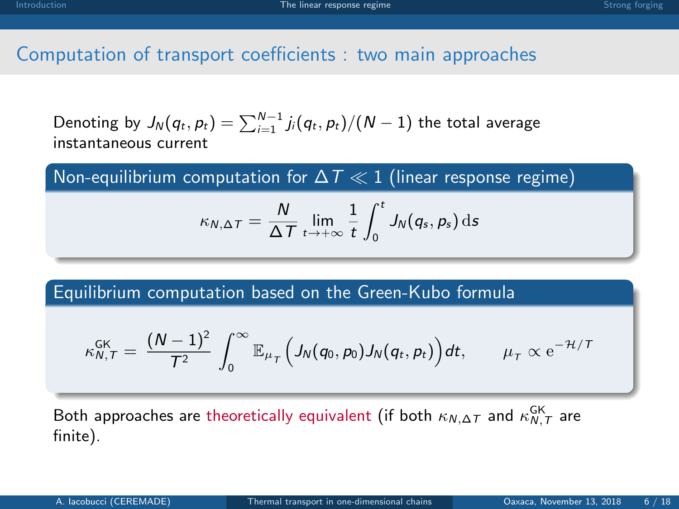Computation of transport coefficients : two main approaches

Denoting by  $J_N(q_t, p_t) = \sum_{i=1}^{N-1} j_i(q_t, p_t) / (N-1)$  the total average instantaneous current

Non-equilibrium computation for  $\Delta T \ll 1$  (linear response regime)

$$
\kappa_{N,\Delta T} = \frac{N}{\Delta T} \lim_{t \to +\infty} \frac{1}{t} \int_0^t J_N(q_s, p_s) \, \mathrm{d} s
$$

Equilibrium computation based on the Green-Kubo formula

$$
\kappa_{N,T}^{\text{GK}} = \frac{(N-1)^2}{T^2} \int_0^\infty \mathbb{E}_{\mu_T}\Big(J_N(q_0,p_0)J_N(q_t,p_t)\Big)dt, \qquad \mu_T \propto \mathrm{e}^{-\mathcal{H}/T}
$$

Both approaches are theoretically equivalent (if both  $\kappa_{N,\Delta\mathcal{T}}$  and  $\kappa_{N,\mathcal{T}}^{\text{GK}}$  are finite).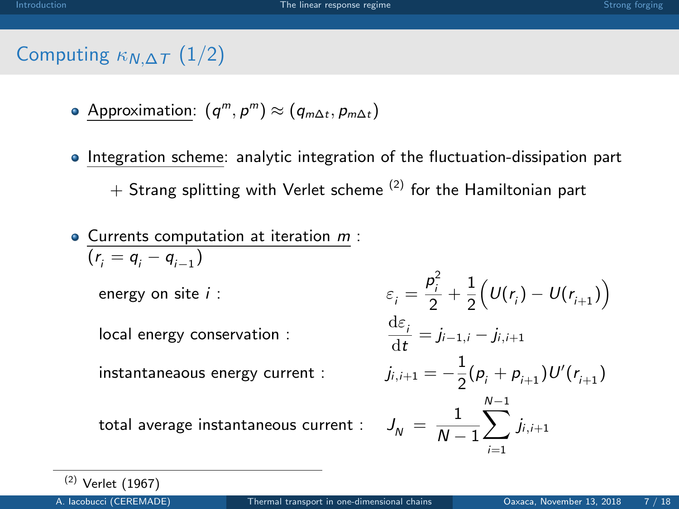# Computing  $\kappa_{N,\Delta T}$  (1/2)

- $\mathsf{Approximation} \colon (q^m, p^m) \approx (q_{m\Delta t}, p_{m\Delta t})$
- Integration scheme: analytic integration of the fluctuation-dissipation part  $+$  Strang splitting with Verlet scheme<sup>(2)</sup> for the Hamiltonian part
- $\bullet$  Currents computation at iteration  $m$  :  $(r_i = q_i - q_{i-1})$

energy on site  $i$  :

local energy conservation :

instantaneaous energy current :

total average instantaneous current :

$$
\varepsilon_{i} = \frac{p_{i}^{2}}{2} + \frac{1}{2} \Big( U(r_{i}) - U(r_{i+1}) \Big)
$$
  
\n
$$
\frac{d\varepsilon_{i}}{dt} = j_{i-1,i} - j_{i,i+1}
$$
  
\n
$$
j_{i,i+1} = -\frac{1}{2} (p_{i} + p_{i+1}) U'(r_{i+1})
$$
  
\n
$$
J_{N} = \frac{1}{N-1} \sum_{i=1}^{N-1} j_{i,i+1}
$$

(2) Verlet (1967)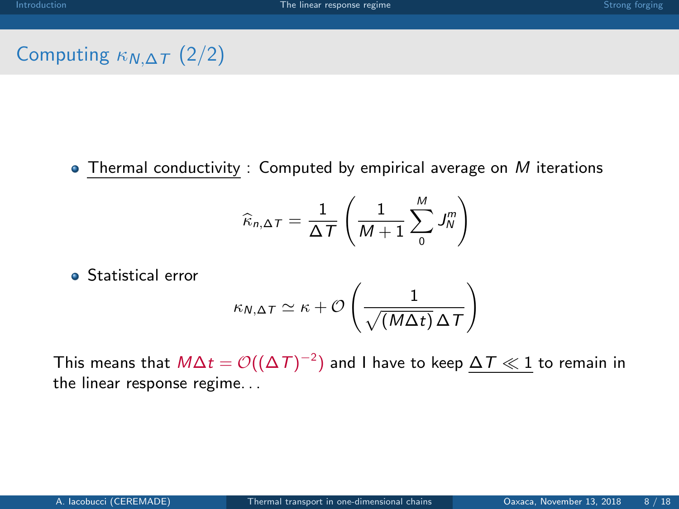Computing 
$$
\kappa_{N,\Delta T}
$$
 (2/2)

 $\bullet$  Thermal conductivity : Computed by empirical average on  $M$  iterations

$$
\widehat{\kappa}_{n,\Delta\mathcal{T}} = \frac{1}{\Delta\mathcal{T}}\left(\frac{1}{M+1}\sum_{0}^{M}J_N^m\right)
$$

Statistical error

$$
\kappa_{N,\Delta T} \simeq \kappa + \mathcal{O}\left(\frac{1}{\sqrt{(M\Delta t)}\,\Delta T}\right)
$$

This means that  $M\Delta t = \mathcal{O}((\Delta \,T)^{-2})$  and I have to keep  $\Delta \,T \ll 1$  to remain in the linear response regime. . .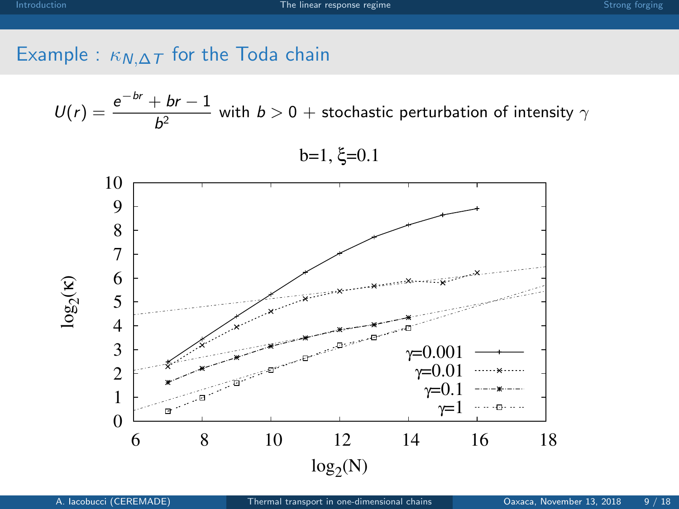## Example :  $\kappa_{N,\Delta T}$  for the Toda chain

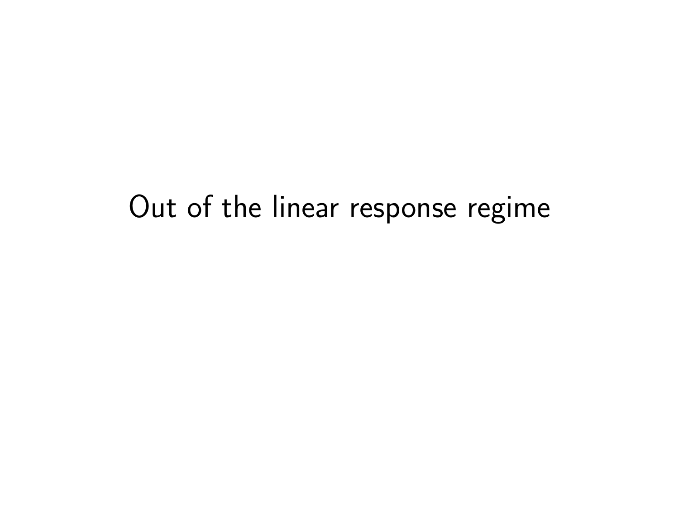# Out of the linear response regime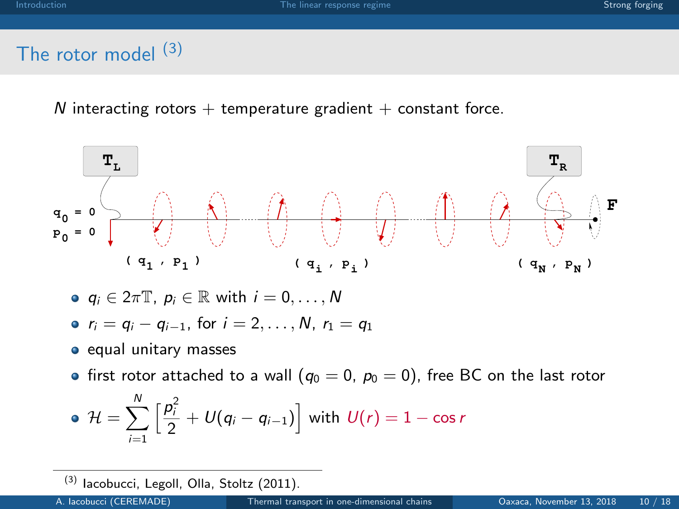## <span id="page-12-0"></span>The rotor model  $(3)$

 $N$  interacting rotors  $+$  temperature gradient  $+$  constant force.



(3) Iacobucci, Legoll, Olla, Stoltz (2011).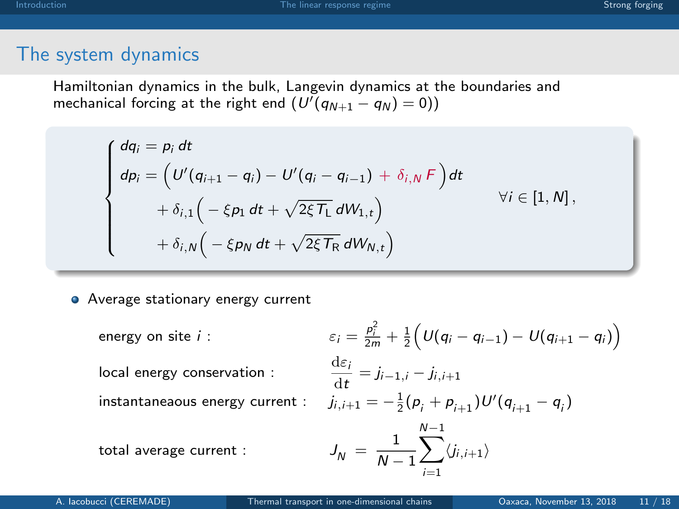#### The system dynamics

Hamiltonian dynamics in the bulk, Langevin dynamics at the boundaries and mechanical forcing at the right end  $(U'(q_{N+1} - q_N) = 0))$ 

$$
\begin{cases}\ndq_i = p_i dt \\
d p_i = \left( U'(q_{i+1} - q_i) - U'(q_i - q_{i-1}) + \delta_{i,N} F \right) dt \\
+ \delta_{i,1} \left( -\xi p_1 dt + \sqrt{2\xi T_1} dW_{1,t} \right) \\
+ \delta_{i,N} \left( -\xi p_N dt + \sqrt{2\xi T_R} dW_{N,t} \right)\n\end{cases} \quad \forall i \in [1, N],
$$

Average stationary energy current

energy on site *i* : 
$$
\varepsilon_i = \frac{p_i^2}{2m} + \frac{1}{2} \Big( U(q_i - q_{i-1}) - U(q_{i+1} - q_i) \Big)
$$
\nlocal energy conservation : 
$$
\frac{d\varepsilon_i}{dt} = j_{i-1,i} - j_{i,i+1}
$$
\ninstantaneous energy current : 
$$
j_{i,i+1} = -\frac{1}{2} (p_i + p_{i+1}) U'(q_{i+1} - q_i)
$$
\ntotal average current : 
$$
J_N = \frac{1}{N-1} \sum_{i=1}^{N-1} \langle j_{i,i+1} \rangle
$$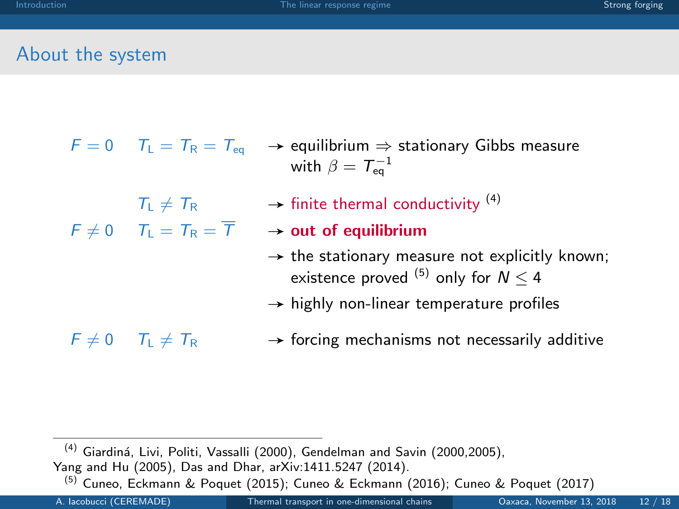#### About the system

|                                                         | $F = 0$ $T_1 = T_R = T_{eq}$ $\rightarrow$ equilibrium $\Rightarrow$ stationary Gibbs measure<br>with $\beta = \mathcal{T}_{eq}^{-1}$ |
|---------------------------------------------------------|---------------------------------------------------------------------------------------------------------------------------------------|
| $T_{\rm L} \neq T_{\rm R}$                              | $\rightarrow$ finite thermal conductivity <sup>(4)</sup>                                                                              |
| $F \neq 0$ $T_{\text{L}} = T_{\text{R}} = \overline{T}$ | $\rightarrow$ out of equilibrium                                                                                                      |
|                                                         | $\rightarrow$ the stationary measure not explicitly known;<br>existence proved $(5)$ only for $N < 4$                                 |
|                                                         | $\rightarrow$ highly non-linear temperature profiles                                                                                  |
| $F \neq 0$ $T_L \neq T_R$                               | $\rightarrow$ forcing mechanisms not necessarily additive                                                                             |

 $(4)$  Giardiná, Livi, Politi, Vassalli (2000), Gendelman and Savin (2000,2005), Yang and Hu (2005), Das and Dhar, arXiv:1411.5247 (2014).

(5) Cuneo, Eckmann & Poquet (2015); Cuneo & Eckmann (2016); Cuneo & Poquet (2017)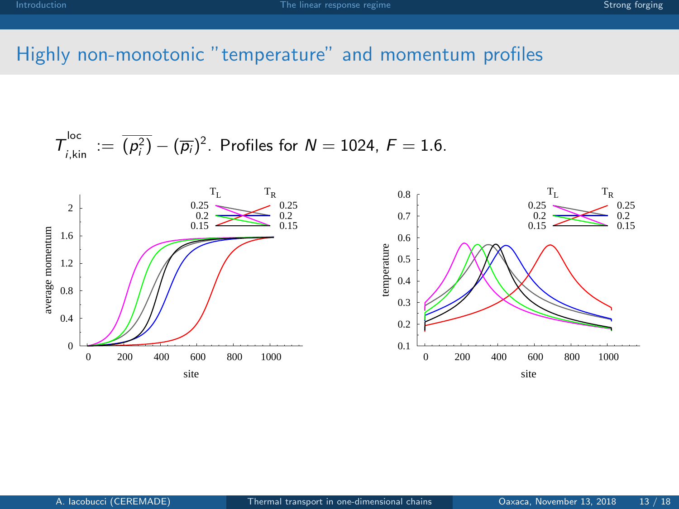### Highly non-monotonic "temperature" and momentum profiles

$$
T_{i,kin}^{\text{loc}} := \overline{(p_i^2)} - (\overline{p_i})^2
$$
. Profiles for  $N = 1024$ ,  $F = 1.6$ .

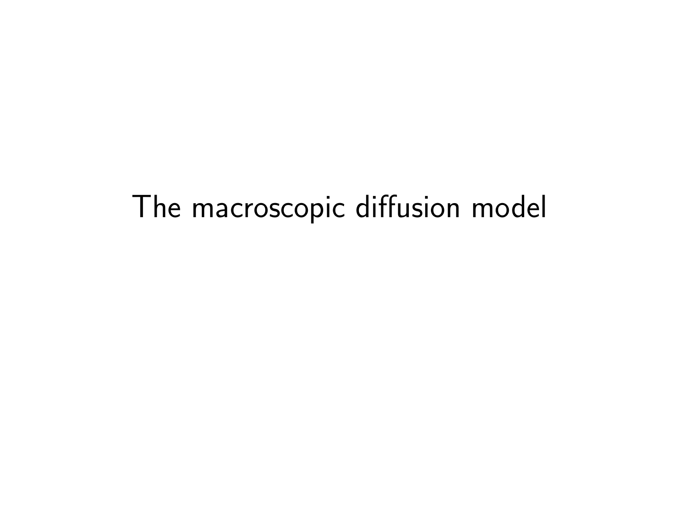# The macroscopic diffusion model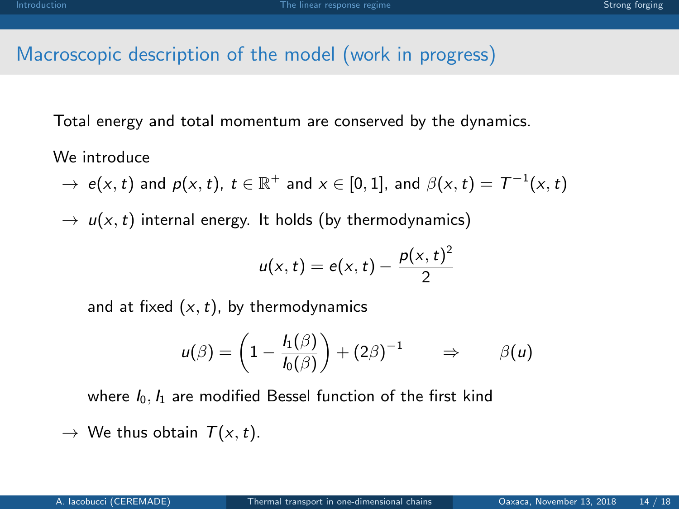## Macroscopic description of the model (work in progress)

Total energy and total momentum are conserved by the dynamics.

We introduce

- $\rightarrow \; e(x,t)$  and  $p(x,t)$ ,  $t\in \mathbb{R}^+$  and  $x\in [0,1]$ , and  $\beta(x,t)=\mathcal{T}^{-1}(x,t)$
- $\rightarrow u(x, t)$  internal energy. It holds (by thermodynamics)

$$
u(x, t) = e(x, t) - \frac{p(x, t)^2}{2}
$$

and at fixed  $(x, t)$ , by thermodynamics

$$
u(\beta) = \left(1 - \frac{h(\beta)}{h(\beta)}\right) + (2\beta)^{-1} \qquad \Rightarrow \qquad \beta(u)
$$

where  $I_0$ ,  $I_1$  are modified Bessel function of the first kind

 $\rightarrow$  We thus obtain  $T(x, t)$ .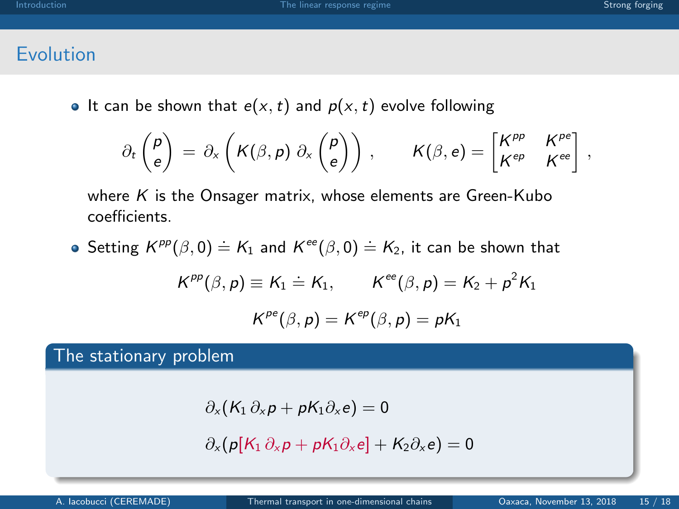## Evolution

• It can be shown that  $e(x, t)$  and  $p(x, t)$  evolve following

$$
\partial_t \begin{pmatrix} \rho \\ e \end{pmatrix} \,=\, \partial_x \begin{pmatrix} K(\beta, p) \;\partial_x \begin{pmatrix} \rho \\ e \end{pmatrix} \end{pmatrix} \,, \qquad K(\beta, e) = \begin{bmatrix} K^{pp} & K^{pe} \\ K^{ep} & K^{ee} \end{bmatrix} \,,
$$

where  $K$  is the Onsager matrix, whose elements are Green-Kubo coefficients.

Setting  $\mathcal{K}^{pp}(\beta,0) \doteq K_1$  and  $\mathcal{K}^{ee}(\beta,0) \doteq K_2$ , it can be shown that

$$
K^{pp}(\beta, p) \equiv K_1 \doteq K_1, \qquad K^{ee}(\beta, p) = K_2 + p^2 K_1
$$

$$
K^{pe}(\beta, p) = K^{ep}(\beta, p) = pK_1
$$

The stationary problem

$$
\partial_x (K_1 \partial_x p + pK_1 \partial_x e) = 0
$$
  

$$
\partial_x (p[K_1 \partial_x p + pK_1 \partial_x e] + K_2 \partial_x e) = 0
$$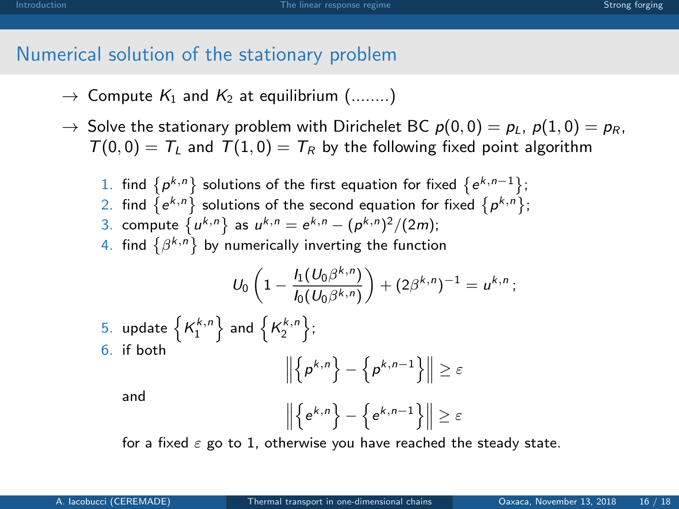## Numerical solution of the stationary problem

- $\rightarrow$  Compute  $K_1$  and  $K_2$  at equilibrium (........)
- $\rightarrow$  Solve the stationary problem with Dirichelet BC  $p(0,0) = p_L$ ,  $p(1,0) = p_R$ ,  $T(0, 0) = T_L$  and  $T(1, 0) = T_R$  by the following fixed point algorithm
	- 1. find  $\{p^{k,n}\}$  solutions of the first equation for fixed  $\{e^{k,n-1}\}$ ;
	- 2. find  $\left\{e^{k,n}\right\}$  solutions of the second equation for fixed  $\left\{ \rho^{k,n}\right\}$ ;
	- 3. compute  $\{u^{k,n}\}$  as  $u^{k,n} = e^{k,n} (p^{k,n})^2/(2m);$
	- 4. find  $\{\beta^{k,n}\}$  by numerically inverting the function

$$
U_0\left(1-\frac{I_1(U_0\beta^{k,n})}{I_0(U_0\beta^{k,n})}\right)+(2\beta^{k,n})^{-1}=u^{k,n};
$$

5. update  $\left\{K_1^{k,n}\right\}$  and  $\left\{K_2^{k,n}\right\};$ 6. if both

$$
\left\|\left\{p^{k,n}\right\}-\left\{p^{k,n-1}\right\}\right\|\geq\varepsilon
$$

and

$$
\left\| \left\{ e^{k,n} \right\} - \left\{ e^{k,n-1} \right\} \right\| \geq \varepsilon
$$

for a fixed  $\varepsilon$  go to 1, otherwise you have reached the steady state.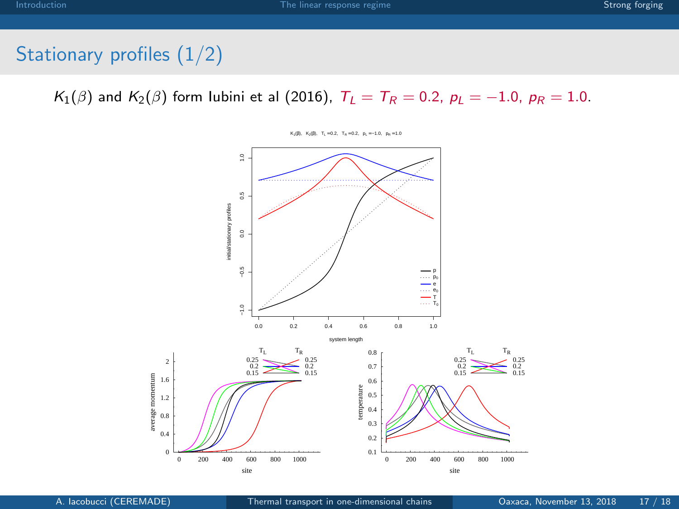## Stationary profiles (1/2)

 $K_1(\beta)$  and  $K_2(\beta)$  form lubini et al (2016),  $T_L = T_R = 0.2$ ,  $p_L = -1.0$ ,  $p_R = 1.0$ .

 $\frac{\alpha}{\alpha}$ 

. . . . . . . .

K<sub>1</sub>(β), K<sub>2</sub>(β), T<sub>L</sub> = 0.2, T<sub>R</sub> = 0.2, p<sub>L</sub> = -1.0, p<sub>R</sub> = 1.0